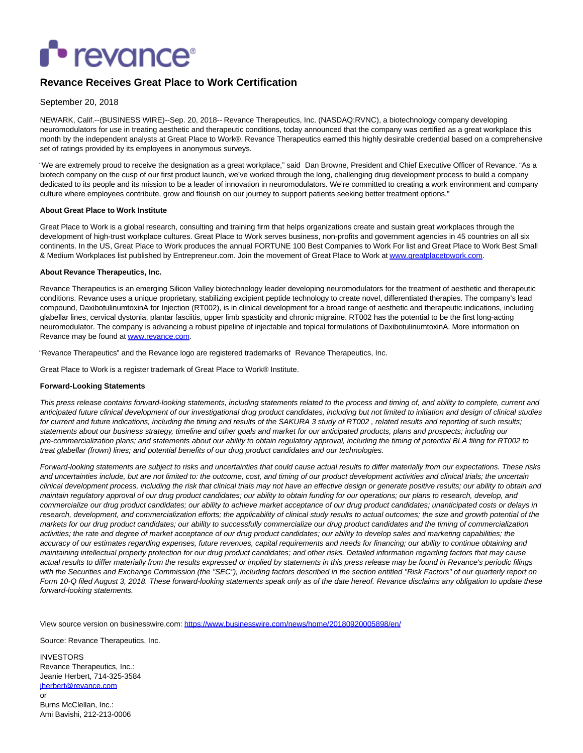

# **Revance Receives Great Place to Work Certification**

## September 20, 2018

NEWARK, Calif.--(BUSINESS WIRE)--Sep. 20, 2018-- Revance Therapeutics, Inc. (NASDAQ:RVNC), a biotechnology company developing neuromodulators for use in treating aesthetic and therapeutic conditions, today announced that the company was certified as a great workplace this month by the independent analysts at Great Place to Work®. Revance Therapeutics earned this highly desirable credential based on a comprehensive set of ratings provided by its employees in anonymous surveys.

"We are extremely proud to receive the designation as a great workplace," said Dan Browne, President and Chief Executive Officer of Revance. "As a biotech company on the cusp of our first product launch, we've worked through the long, challenging drug development process to build a company dedicated to its people and its mission to be a leader of innovation in neuromodulators. We're committed to creating a work environment and company culture where employees contribute, grow and flourish on our journey to support patients seeking better treatment options."

#### **About Great Place to Work Institute**

Great Place to Work is a global research, consulting and training firm that helps organizations create and sustain great workplaces through the development of high-trust workplace cultures. Great Place to Work serves business, non-profits and government agencies in 45 countries on all six continents. In the US, Great Place to Work produces the annual FORTUNE 100 Best Companies to Work For list and Great Place to Work Best Small & Medium Workplaces list published by Entrepreneur.com. Join the movement of Great Place to Work a[t www.greatplacetowork.com.](http://cts.businesswire.com/ct/CT?id=smartlink&url=http%3A%2F%2Fwww.greatplacetowork.com&esheet=51870326&newsitemid=20180920005898&lan=en-US&anchor=www.greatplacetowork.com&index=1&md5=2fde4a9925096bebc932832501da2b5d)

#### **About Revance Therapeutics, Inc.**

Revance Therapeutics is an emerging Silicon Valley biotechnology leader developing neuromodulators for the treatment of aesthetic and therapeutic conditions. Revance uses a unique proprietary, stabilizing excipient peptide technology to create novel, differentiated therapies. The company's lead compound, DaxibotulinumtoxinA for Injection (RT002), is in clinical development for a broad range of aesthetic and therapeutic indications, including glabellar lines, cervical dystonia, plantar fasciitis, upper limb spasticity and chronic migraine. RT002 has the potential to be the first long-acting neuromodulator. The company is advancing a robust pipeline of injectable and topical formulations of DaxibotulinumtoxinA. More information on Revance may be found a[t www.revance.com.](http://cts.businesswire.com/ct/CT?id=smartlink&url=http%3A%2F%2Fwww.revance.com&esheet=51870326&newsitemid=20180920005898&lan=en-US&anchor=www.revance.com&index=2&md5=46722bd743ba03f2c15eef662c2df4c9)

"Revance Therapeutics" and the Revance logo are registered trademarks of Revance Therapeutics, Inc.

Great Place to Work is a register trademark of Great Place to Work® Institute.

### **Forward-Looking Statements**

This press release contains forward-looking statements, including statements related to the process and timing of, and ability to complete, current and anticipated future clinical development of our investigational drug product candidates, including but not limited to initiation and design of clinical studies for current and future indications, including the timing and results of the SAKURA 3 study of RT002, related results and reporting of such results; statements about our business strategy, timeline and other goals and market for our anticipated products, plans and prospects; including our pre-commercialization plans; and statements about our ability to obtain regulatory approval, including the timing of potential BLA filing for RT002 to treat glabellar (frown) lines; and potential benefits of our drug product candidates and our technologies.

Forward-looking statements are subject to risks and uncertainties that could cause actual results to differ materially from our expectations. These risks and uncertainties include, but are not limited to: the outcome, cost, and timing of our product development activities and clinical trials; the uncertain clinical development process, including the risk that clinical trials may not have an effective design or generate positive results; our ability to obtain and maintain regulatory approval of our drug product candidates; our ability to obtain funding for our operations; our plans to research, develop, and commercialize our drug product candidates; our ability to achieve market acceptance of our drug product candidates; unanticipated costs or delays in research, development, and commercialization efforts; the applicability of clinical study results to actual outcomes; the size and growth potential of the markets for our drug product candidates; our ability to successfully commercialize our drug product candidates and the timing of commercialization activities; the rate and degree of market acceptance of our drug product candidates; our ability to develop sales and marketing capabilities; the accuracy of our estimates regarding expenses, future revenues, capital requirements and needs for financing; our ability to continue obtaining and maintaining intellectual property protection for our drug product candidates; and other risks. Detailed information regarding factors that may cause actual results to differ materially from the results expressed or implied by statements in this press release may be found in Revance's periodic filings with the Securities and Exchange Commission (the "SEC"), including factors described in the section entitled "Risk Factors" of our quarterly report on Form 10-Q filed August 3, 2018. These forward-looking statements speak only as of the date hereof. Revance disclaims any obligation to update these forward-looking statements.

View source version on businesswire.com:<https://www.businesswire.com/news/home/20180920005898/en/>

Source: Revance Therapeutics, Inc.

INVESTORS Revance Therapeutics, Inc.: Jeanie Herbert, 714-325-3584 [jherbert@revance.com](mailto:jherbert@revance.com) or Burns McClellan, Inc.: Ami Bavishi, 212-213-0006